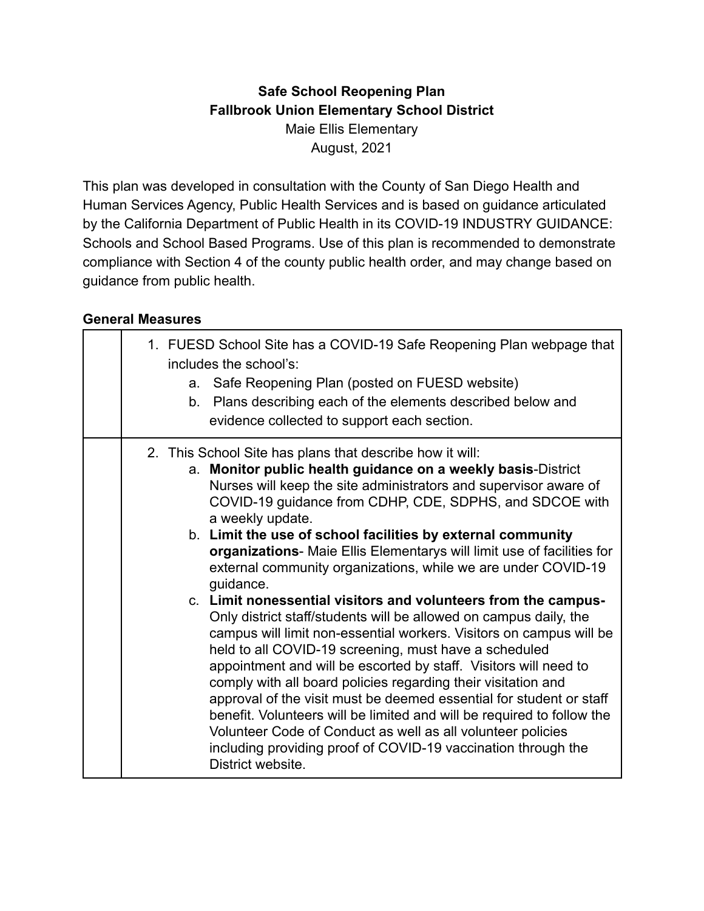#### **Safe School Reopening Plan Fallbrook Union Elementary School District** Maie Ellis Elementary August, 2021

This plan was developed in consultation with the County of San Diego Health and Human Services Agency, Public Health Services and is based on guidance articulated by the California Department of Public Health in its COVID-19 INDUSTRY GUIDANCE: Schools and School Based Programs. Use of this plan is recommended to demonstrate compliance with Section 4 of the county public health order, and may change based on guidance from public health.

#### **General Measures**

|  | 1. FUESD School Site has a COVID-19 Safe Reopening Plan webpage that<br>includes the school's:<br>a. Safe Reopening Plan (posted on FUESD website)<br>b. Plans describing each of the elements described below and<br>evidence collected to support each section.                                                                                                                                                                                                                                                                                                                                                                                                                                                                                                                                                                                                                                                                                                                                                                                                                                                                                                                                                    |
|--|----------------------------------------------------------------------------------------------------------------------------------------------------------------------------------------------------------------------------------------------------------------------------------------------------------------------------------------------------------------------------------------------------------------------------------------------------------------------------------------------------------------------------------------------------------------------------------------------------------------------------------------------------------------------------------------------------------------------------------------------------------------------------------------------------------------------------------------------------------------------------------------------------------------------------------------------------------------------------------------------------------------------------------------------------------------------------------------------------------------------------------------------------------------------------------------------------------------------|
|  | 2. This School Site has plans that describe how it will:<br>a. Monitor public health guidance on a weekly basis-District<br>Nurses will keep the site administrators and supervisor aware of<br>COVID-19 guidance from CDHP, CDE, SDPHS, and SDCOE with<br>a weekly update.<br>b. Limit the use of school facilities by external community<br>organizations- Maie Ellis Elementarys will limit use of facilities for<br>external community organizations, while we are under COVID-19<br>guidance.<br>c. Limit nonessential visitors and volunteers from the campus-<br>Only district staff/students will be allowed on campus daily, the<br>campus will limit non-essential workers. Visitors on campus will be<br>held to all COVID-19 screening, must have a scheduled<br>appointment and will be escorted by staff. Visitors will need to<br>comply with all board policies regarding their visitation and<br>approval of the visit must be deemed essential for student or staff<br>benefit. Volunteers will be limited and will be required to follow the<br>Volunteer Code of Conduct as well as all volunteer policies<br>including providing proof of COVID-19 vaccination through the<br>District website. |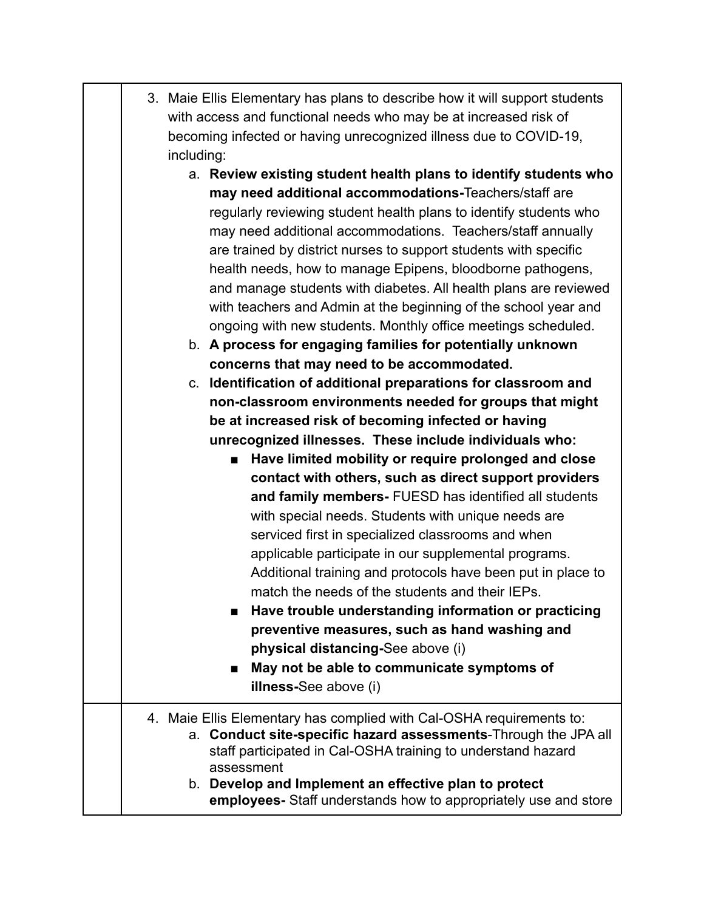|  | 3. Maie Ellis Elementary has plans to describe how it will support students |
|--|-----------------------------------------------------------------------------|
|  | with access and functional needs who may be at increased risk of            |
|  | becoming infected or having unrecognized illness due to COVID-19,           |
|  | including:                                                                  |

- a. **Review existing student health plans to identify students who may need additional accommodations-**Teachers/staff are regularly reviewing student health plans to identify students who may need additional accommodations. Teachers/staff annually are trained by district nurses to support students with specific health needs, how to manage Epipens, bloodborne pathogens, and manage students with diabetes. All health plans are reviewed with teachers and Admin at the beginning of the school year and ongoing with new students. Monthly office meetings scheduled.
- b. **A process for engaging families for potentially unknown concerns that may need to be accommodated.**

c. **Identification of additional preparations for classroom and non-classroom environments needed for groups that might be at increased risk of becoming infected or having unrecognized illnesses. These include individuals who:**

> ■ **Have limited mobility or require prolonged and close contact with others, such as direct support providers and family members-** FUESD has identified all students with special needs. Students with unique needs are serviced first in specialized classrooms and when applicable participate in our supplemental programs. Additional training and protocols have been put in place to match the needs of the students and their IEPs.

> **■ Have trouble understanding information or practicing preventive measures, such as hand washing and physical distancing-**See above (i)

■ May not be able to communicate symptoms of **illness-**See above (i)

#### 4. Maie Ellis Elementary has complied with Cal-OSHA requirements to: a. **Conduct site-specific hazard assessments**-Through the JPA all staff participated in Cal-OSHA training to understand hazard assessment b. **Develop and Implement an effective plan to protect**

**employees-** Staff understands how to appropriately use and store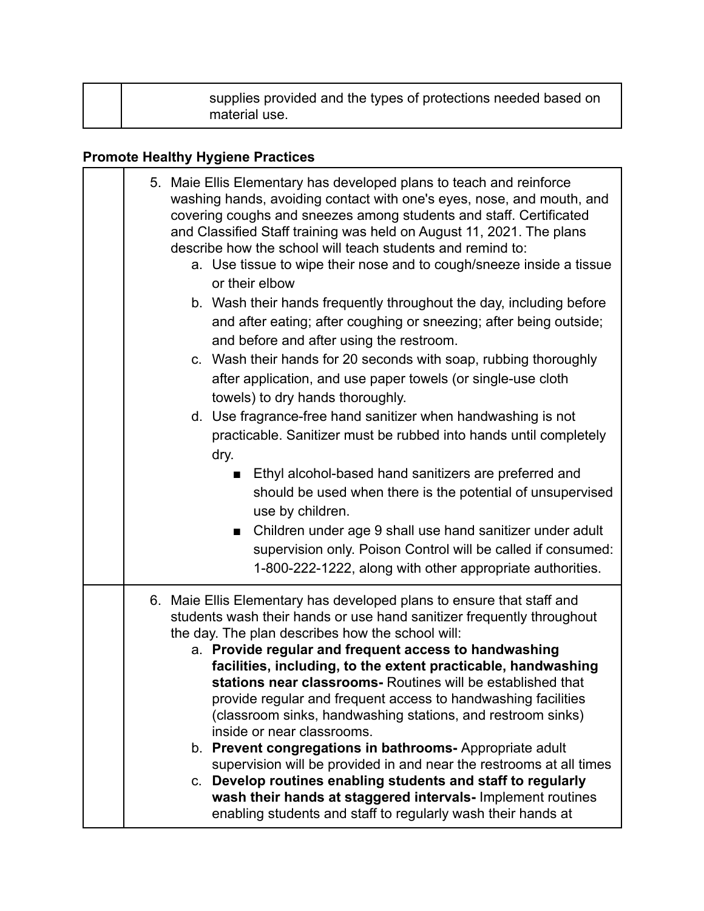| supplies provided and the types of protections needed based on<br>material use. |  |
|---------------------------------------------------------------------------------|--|
|---------------------------------------------------------------------------------|--|

# **Promote Healthy Hygiene Practices**

| 5. Maie Ellis Elementary has developed plans to teach and reinforce<br>washing hands, avoiding contact with one's eyes, nose, and mouth, and<br>covering coughs and sneezes among students and staff. Certificated<br>and Classified Staff training was held on August 11, 2021. The plans<br>describe how the school will teach students and remind to:<br>a. Use tissue to wipe their nose and to cough/sneeze inside a tissue<br>or their elbow<br>b. Wash their hands frequently throughout the day, including before<br>and after eating; after coughing or sneezing; after being outside;<br>and before and after using the restroom.<br>c. Wash their hands for 20 seconds with soap, rubbing thoroughly<br>after application, and use paper towels (or single-use cloth<br>towels) to dry hands thoroughly.<br>d. Use fragrance-free hand sanitizer when handwashing is not         |
|---------------------------------------------------------------------------------------------------------------------------------------------------------------------------------------------------------------------------------------------------------------------------------------------------------------------------------------------------------------------------------------------------------------------------------------------------------------------------------------------------------------------------------------------------------------------------------------------------------------------------------------------------------------------------------------------------------------------------------------------------------------------------------------------------------------------------------------------------------------------------------------------|
| practicable. Sanitizer must be rubbed into hands until completely<br>dry.<br>Ethyl alcohol-based hand sanitizers are preferred and<br>should be used when there is the potential of unsupervised<br>use by children.<br>Children under age 9 shall use hand sanitizer under adult<br>$\blacksquare$<br>supervision only. Poison Control will be called if consumed:<br>1-800-222-1222, along with other appropriate authorities.                                                                                                                                                                                                                                                                                                                                                                                                                                                            |
| 6. Maie Ellis Elementary has developed plans to ensure that staff and<br>students wash their hands or use hand sanitizer frequently throughout<br>the day. The plan describes how the school will:<br>a. Provide regular and frequent access to handwashing<br>facilities, including, to the extent practicable, handwashing<br>stations near classrooms- Routines will be established that<br>provide regular and frequent access to handwashing facilities<br>(classroom sinks, handwashing stations, and restroom sinks)<br>inside or near classrooms.<br>b. Prevent congregations in bathrooms- Appropriate adult<br>supervision will be provided in and near the restrooms at all times<br>c. Develop routines enabling students and staff to regularly<br>wash their hands at staggered intervals- Implement routines<br>enabling students and staff to regularly wash their hands at |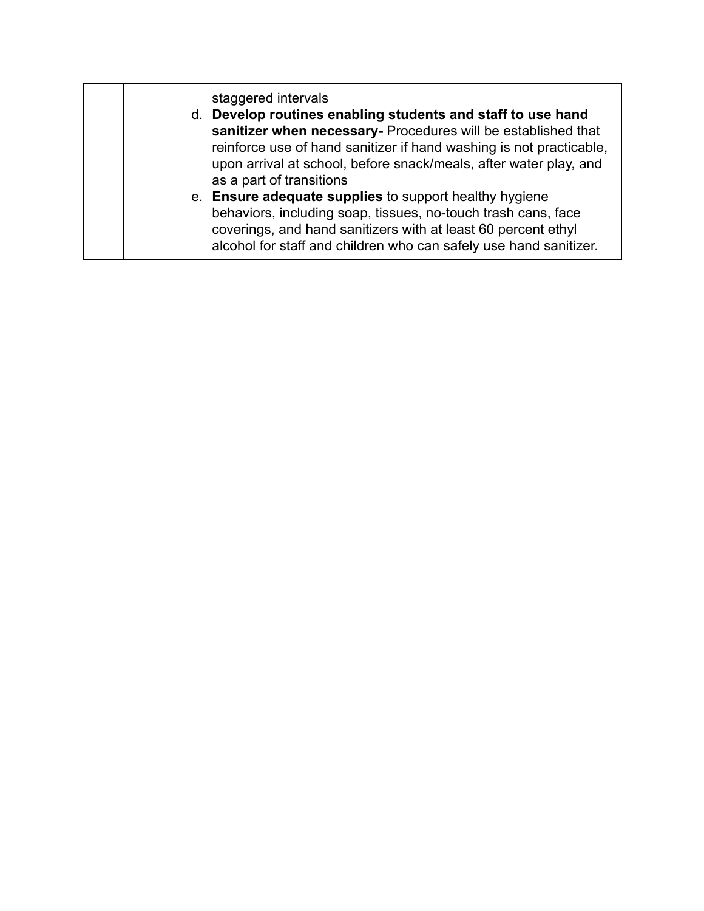staggered intervals d. **Develop routines enabling students and staff to use hand sanitizer when necessary-** Procedures will be established that reinforce use of hand sanitizer if hand washing is not practicable, upon arrival at school, before snack/meals, after water play, and as a part of transitions e. **Ensure adequate supplies** to support healthy hygiene behaviors, including soap, tissues, no-touch trash cans, face coverings, and hand sanitizers with at least 60 percent ethyl alcohol for staff and children who can safely use hand sanitizer.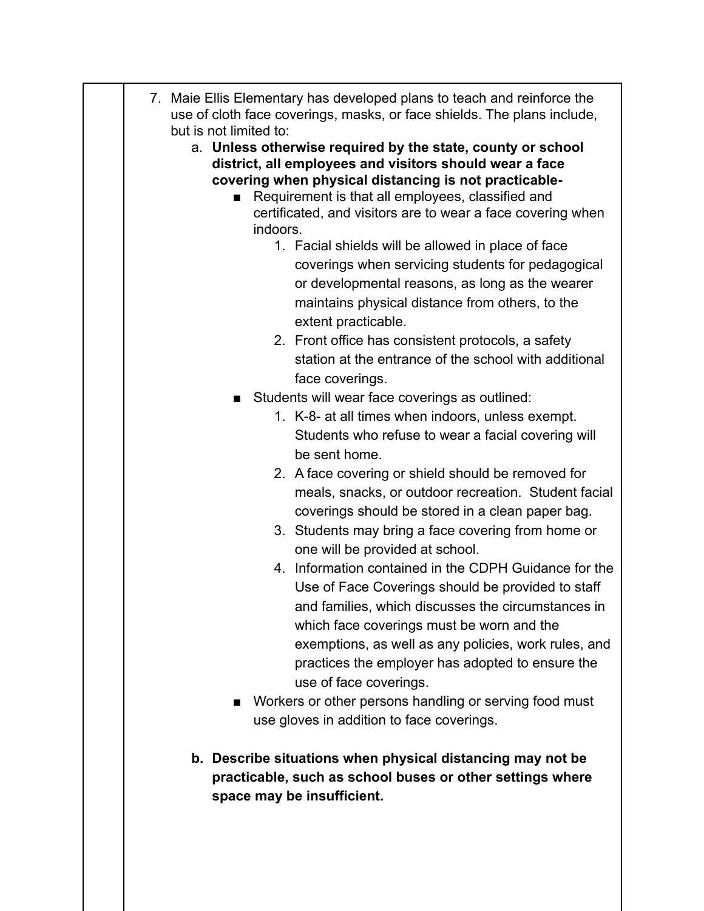| 7. Maie Ellis Elementary has developed plans to teach and reinforce the<br>use of cloth face coverings, masks, or face shields. The plans include,                                                                                                                                                                                                                                                                                                                                                                                                                                                                                                                                                                                                                                                                                                                                                                          |
|-----------------------------------------------------------------------------------------------------------------------------------------------------------------------------------------------------------------------------------------------------------------------------------------------------------------------------------------------------------------------------------------------------------------------------------------------------------------------------------------------------------------------------------------------------------------------------------------------------------------------------------------------------------------------------------------------------------------------------------------------------------------------------------------------------------------------------------------------------------------------------------------------------------------------------|
| but is not limited to:<br>a. Unless otherwise required by the state, county or school<br>district, all employees and visitors should wear a face<br>covering when physical distancing is not practicable-<br>Requirement is that all employees, classified and<br>certificated, and visitors are to wear a face covering when<br>indoors.<br>1. Facial shields will be allowed in place of face<br>coverings when servicing students for pedagogical<br>or developmental reasons, as long as the wearer<br>maintains physical distance from others, to the<br>extent practicable.<br>2. Front office has consistent protocols, a safety                                                                                                                                                                                                                                                                                     |
| station at the entrance of the school with additional                                                                                                                                                                                                                                                                                                                                                                                                                                                                                                                                                                                                                                                                                                                                                                                                                                                                       |
| face coverings.<br>Students will wear face coverings as outlined:<br>1. K-8- at all times when indoors, unless exempt.<br>Students who refuse to wear a facial covering will<br>be sent home.<br>2. A face covering or shield should be removed for<br>meals, snacks, or outdoor recreation. Student facial<br>coverings should be stored in a clean paper bag.<br>3. Students may bring a face covering from home or<br>one will be provided at school.<br>4. Information contained in the CDPH Guidance for the<br>Use of Face Coverings should be provided to staff<br>and families, which discusses the circumstances in<br>which face coverings must be worn and the<br>exemptions, as well as any policies, work rules, and<br>practices the employer has adopted to ensure the<br>use of face coverings.<br>Workers or other persons handling or serving food must<br>■<br>use gloves in addition to face coverings. |
| b. Describe situations when physical distancing may not be<br>practicable, such as school buses or other settings where<br>space may be insufficient.                                                                                                                                                                                                                                                                                                                                                                                                                                                                                                                                                                                                                                                                                                                                                                       |

 $\begin{array}{c} \begin{array}{c} \begin{array}{c} \begin{array}{c} \end{array} \end{array} \end{array} \end{array}$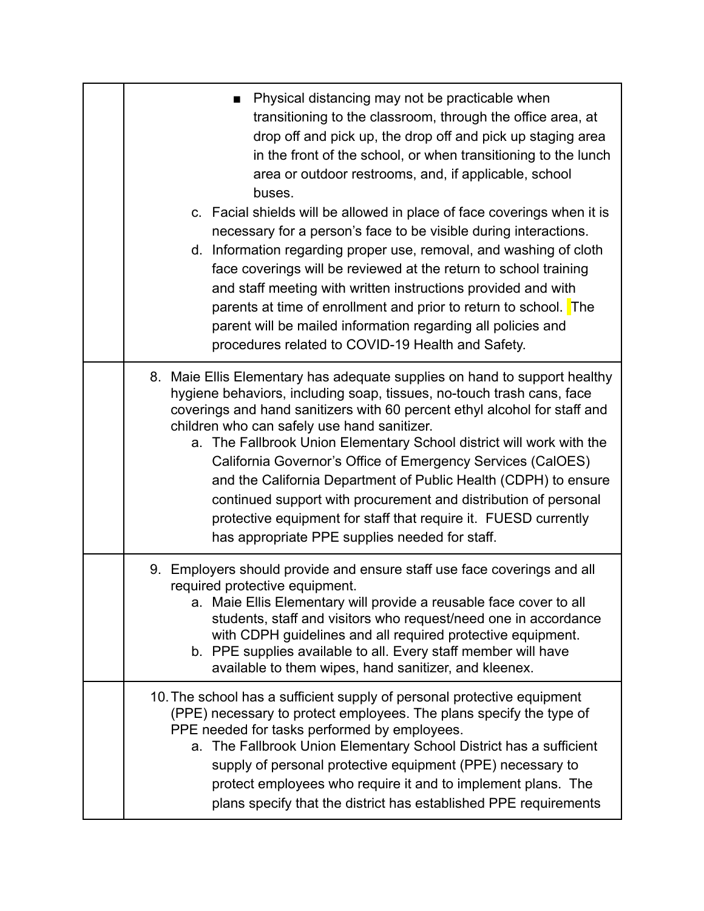| Physical distancing may not be practicable when<br>transitioning to the classroom, through the office area, at<br>drop off and pick up, the drop off and pick up staging area<br>in the front of the school, or when transitioning to the lunch<br>area or outdoor restrooms, and, if applicable, school<br>buses.<br>c. Facial shields will be allowed in place of face coverings when it is<br>necessary for a person's face to be visible during interactions.<br>d. Information regarding proper use, removal, and washing of cloth<br>face coverings will be reviewed at the return to school training<br>and staff meeting with written instructions provided and with<br>parents at time of enrollment and prior to return to school. The<br>parent will be mailed information regarding all policies and<br>procedures related to COVID-19 Health and Safety. |
|-----------------------------------------------------------------------------------------------------------------------------------------------------------------------------------------------------------------------------------------------------------------------------------------------------------------------------------------------------------------------------------------------------------------------------------------------------------------------------------------------------------------------------------------------------------------------------------------------------------------------------------------------------------------------------------------------------------------------------------------------------------------------------------------------------------------------------------------------------------------------|
| 8. Maie Ellis Elementary has adequate supplies on hand to support healthy<br>hygiene behaviors, including soap, tissues, no-touch trash cans, face<br>coverings and hand sanitizers with 60 percent ethyl alcohol for staff and<br>children who can safely use hand sanitizer.<br>a. The Fallbrook Union Elementary School district will work with the<br>California Governor's Office of Emergency Services (CalOES)<br>and the California Department of Public Health (CDPH) to ensure<br>continued support with procurement and distribution of personal<br>protective equipment for staff that require it. FUESD currently<br>has appropriate PPE supplies needed for staff.                                                                                                                                                                                      |
| 9. Employers should provide and ensure staff use face coverings and all<br>required protective equipment.<br>a. Maie Ellis Elementary will provide a reusable face cover to all<br>students, staff and visitors who request/need one in accordance<br>with CDPH guidelines and all required protective equipment.<br>b. PPE supplies available to all. Every staff member will have<br>available to them wipes, hand sanitizer, and kleenex.                                                                                                                                                                                                                                                                                                                                                                                                                          |
| 10. The school has a sufficient supply of personal protective equipment<br>(PPE) necessary to protect employees. The plans specify the type of<br>PPE needed for tasks performed by employees.<br>a. The Fallbrook Union Elementary School District has a sufficient<br>supply of personal protective equipment (PPE) necessary to<br>protect employees who require it and to implement plans. The<br>plans specify that the district has established PPE requirements                                                                                                                                                                                                                                                                                                                                                                                                |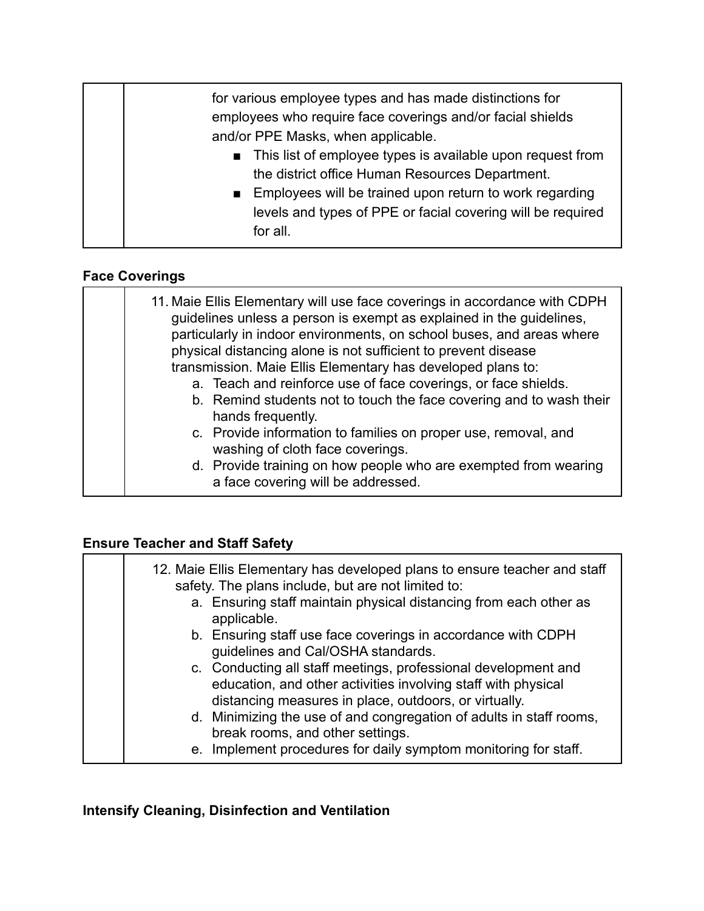| for various employee types and has made distinctions for<br>employees who require face coverings and/or facial shields<br>and/or PPE Masks, when applicable.                                                                                        |
|-----------------------------------------------------------------------------------------------------------------------------------------------------------------------------------------------------------------------------------------------------|
| This list of employee types is available upon request from<br>the district office Human Resources Department.<br>Employees will be trained upon return to work regarding<br>levels and types of PPE or facial covering will be required<br>for all. |

## **Face Coverings**

| hands frequently.<br>c. Provide information to families on proper use, removal, and<br>washing of cloth face coverings.<br>d. Provide training on how people who are exempted from wearing<br>a face covering will be addressed. |  | 11. Maie Ellis Elementary will use face coverings in accordance with CDPH<br>guidelines unless a person is exempt as explained in the guidelines,<br>particularly in indoor environments, on school buses, and areas where<br>physical distancing alone is not sufficient to prevent disease<br>transmission. Maie Ellis Elementary has developed plans to:<br>a. Teach and reinforce use of face coverings, or face shields.<br>b. Remind students not to touch the face covering and to wash their |
|----------------------------------------------------------------------------------------------------------------------------------------------------------------------------------------------------------------------------------|--|------------------------------------------------------------------------------------------------------------------------------------------------------------------------------------------------------------------------------------------------------------------------------------------------------------------------------------------------------------------------------------------------------------------------------------------------------------------------------------------------------|
|----------------------------------------------------------------------------------------------------------------------------------------------------------------------------------------------------------------------------------|--|------------------------------------------------------------------------------------------------------------------------------------------------------------------------------------------------------------------------------------------------------------------------------------------------------------------------------------------------------------------------------------------------------------------------------------------------------------------------------------------------------|

#### **Ensure Teacher and Staff Safety**

| 12. Maie Ellis Elementary has developed plans to ensure teacher and staff<br>safety. The plans include, but are not limited to:                                                          |
|------------------------------------------------------------------------------------------------------------------------------------------------------------------------------------------|
| a. Ensuring staff maintain physical distancing from each other as<br>applicable.                                                                                                         |
| b. Ensuring staff use face coverings in accordance with CDPH<br>guidelines and Cal/OSHA standards.                                                                                       |
| c. Conducting all staff meetings, professional development and<br>education, and other activities involving staff with physical<br>distancing measures in place, outdoors, or virtually. |
| d. Minimizing the use of and congregation of adults in staff rooms,<br>break rooms, and other settings.                                                                                  |
| e. Implement procedures for daily symptom monitoring for staff.                                                                                                                          |

#### **Intensify Cleaning, Disinfection and Ventilation**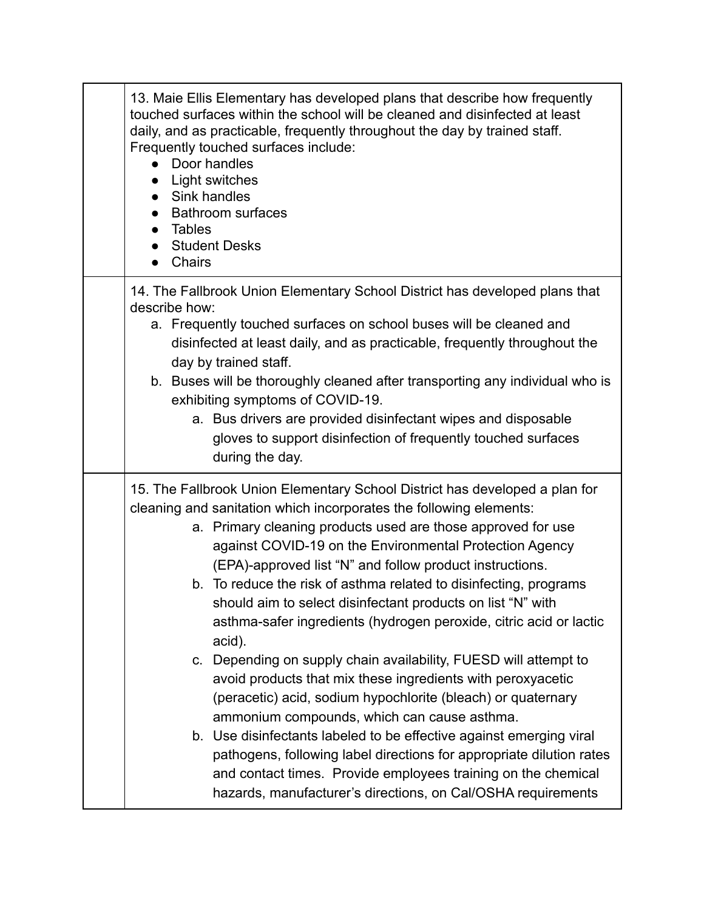| 13. Maie Ellis Elementary has developed plans that describe how frequently<br>touched surfaces within the school will be cleaned and disinfected at least<br>daily, and as practicable, frequently throughout the day by trained staff.<br>Frequently touched surfaces include:<br>Door handles<br>Light switches<br>• Sink handles<br><b>Bathroom surfaces</b><br>Tables<br><b>Student Desks</b><br><b>Chairs</b>                                                                                                                                                                                                                                                                                                                                                                                                                                                                                                                                                                                                                                                                             |
|------------------------------------------------------------------------------------------------------------------------------------------------------------------------------------------------------------------------------------------------------------------------------------------------------------------------------------------------------------------------------------------------------------------------------------------------------------------------------------------------------------------------------------------------------------------------------------------------------------------------------------------------------------------------------------------------------------------------------------------------------------------------------------------------------------------------------------------------------------------------------------------------------------------------------------------------------------------------------------------------------------------------------------------------------------------------------------------------|
| 14. The Fallbrook Union Elementary School District has developed plans that<br>describe how:<br>a. Frequently touched surfaces on school buses will be cleaned and<br>disinfected at least daily, and as practicable, frequently throughout the<br>day by trained staff.<br>b. Buses will be thoroughly cleaned after transporting any individual who is<br>exhibiting symptoms of COVID-19.<br>a. Bus drivers are provided disinfectant wipes and disposable<br>gloves to support disinfection of frequently touched surfaces<br>during the day.                                                                                                                                                                                                                                                                                                                                                                                                                                                                                                                                              |
| 15. The Fallbrook Union Elementary School District has developed a plan for<br>cleaning and sanitation which incorporates the following elements:<br>a. Primary cleaning products used are those approved for use<br>against COVID-19 on the Environmental Protection Agency<br>(EPA)-approved list "N" and follow product instructions.<br>b. To reduce the risk of asthma related to disinfecting, programs<br>should aim to select disinfectant products on list "N" with<br>asthma-safer ingredients (hydrogen peroxide, citric acid or lactic<br>acid).<br>c. Depending on supply chain availability, FUESD will attempt to<br>avoid products that mix these ingredients with peroxyacetic<br>(peracetic) acid, sodium hypochlorite (bleach) or quaternary<br>ammonium compounds, which can cause asthma.<br>b. Use disinfectants labeled to be effective against emerging viral<br>pathogens, following label directions for appropriate dilution rates<br>and contact times. Provide employees training on the chemical<br>hazards, manufacturer's directions, on Cal/OSHA requirements |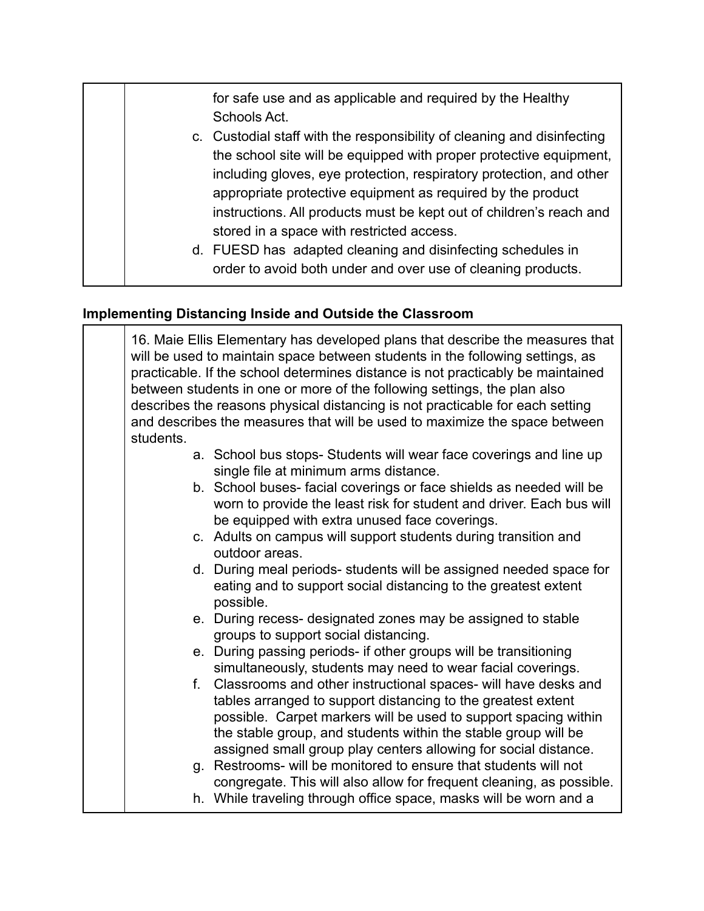for safe use and as applicable and required by the Healthy Schools Act. c. Custodial staff with the responsibility of cleaning and disinfecting the school site will be equipped with proper protective equipment, including gloves, eye protection, respiratory protection, and other appropriate protective equipment as required by the product instructions. All products must be kept out of children's reach and stored in a space with restricted access.

> d. FUESD has adapted cleaning and disinfecting schedules in order to avoid both under and over use of cleaning products.

#### **Implementing Distancing Inside and Outside the Classroom**

16. Maie Ellis Elementary has developed plans that describe the measures that will be used to maintain space between students in the following settings, as practicable. If the school determines distance is not practicably be maintained between students in one or more of the following settings, the plan also describes the reasons physical distancing is not practicable for each setting and describes the measures that will be used to maximize the space between students.

- a. School bus stops- Students will wear face coverings and line up single file at minimum arms distance.
- b. School buses- facial coverings or face shields as needed will be worn to provide the least risk for student and driver. Each bus will be equipped with extra unused face coverings.
- c. Adults on campus will support students during transition and outdoor areas.
- d. During meal periods- students will be assigned needed space for eating and to support social distancing to the greatest extent possible.
- e. During recess- designated zones may be assigned to stable groups to support social distancing.
- e. During passing periods- if other groups will be transitioning simultaneously, students may need to wear facial coverings.
- f. Classrooms and other instructional spaces- will have desks and tables arranged to support distancing to the greatest extent possible. Carpet markers will be used to support spacing within the stable group, and students within the stable group will be assigned small group play centers allowing for social distance.
- g. Restrooms- will be monitored to ensure that students will not congregate. This will also allow for frequent cleaning, as possible.
- h. While traveling through office space, masks will be worn and a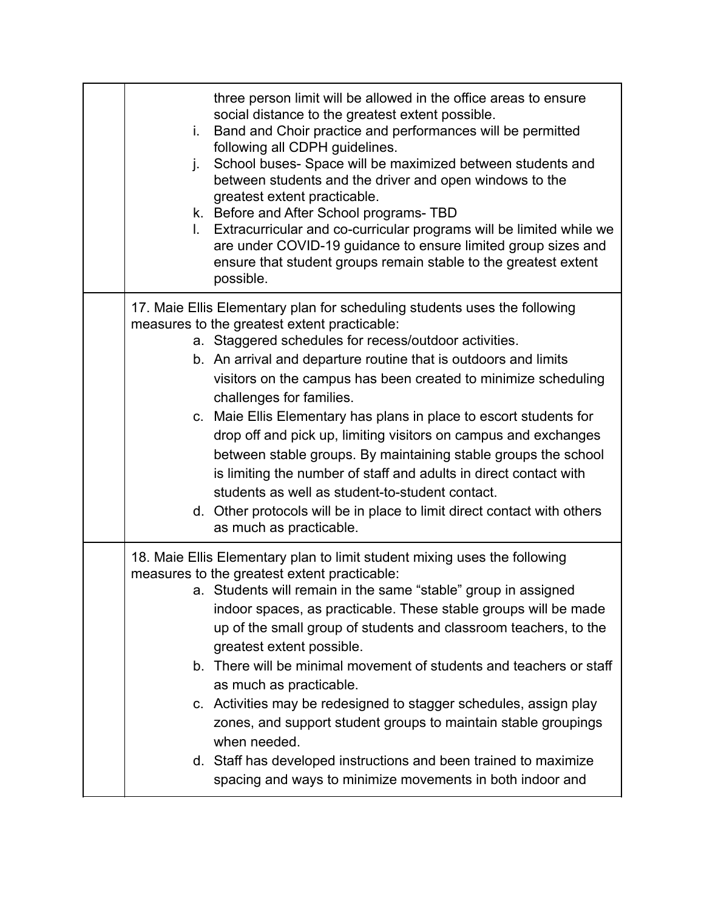| three person limit will be allowed in the office areas to ensure<br>social distance to the greatest extent possible.<br>Band and Choir practice and performances will be permitted<br>i.<br>following all CDPH guidelines.<br>School buses- Space will be maximized between students and<br>j.<br>between students and the driver and open windows to the<br>greatest extent practicable.<br>k. Before and After School programs-TBD<br>Extracurricular and co-curricular programs will be limited while we<br>L.<br>are under COVID-19 guidance to ensure limited group sizes and<br>ensure that student groups remain stable to the greatest extent<br>possible.                                                                                                                           |
|----------------------------------------------------------------------------------------------------------------------------------------------------------------------------------------------------------------------------------------------------------------------------------------------------------------------------------------------------------------------------------------------------------------------------------------------------------------------------------------------------------------------------------------------------------------------------------------------------------------------------------------------------------------------------------------------------------------------------------------------------------------------------------------------|
| 17. Maie Ellis Elementary plan for scheduling students uses the following<br>measures to the greatest extent practicable:<br>a. Staggered schedules for recess/outdoor activities.<br>b. An arrival and departure routine that is outdoors and limits<br>visitors on the campus has been created to minimize scheduling<br>challenges for families.<br>c. Maie Ellis Elementary has plans in place to escort students for<br>drop off and pick up, limiting visitors on campus and exchanges<br>between stable groups. By maintaining stable groups the school<br>is limiting the number of staff and adults in direct contact with<br>students as well as student-to-student contact.<br>d. Other protocols will be in place to limit direct contact with others<br>as much as practicable. |
| 18. Maie Ellis Elementary plan to limit student mixing uses the following<br>measures to the greatest extent practicable:<br>a. Students will remain in the same "stable" group in assigned<br>indoor spaces, as practicable. These stable groups will be made<br>up of the small group of students and classroom teachers, to the<br>greatest extent possible.<br>b. There will be minimal movement of students and teachers or staff<br>as much as practicable.<br>c. Activities may be redesigned to stagger schedules, assign play<br>zones, and support student groups to maintain stable groupings<br>when needed.<br>d. Staff has developed instructions and been trained to maximize<br>spacing and ways to minimize movements in both indoor and                                    |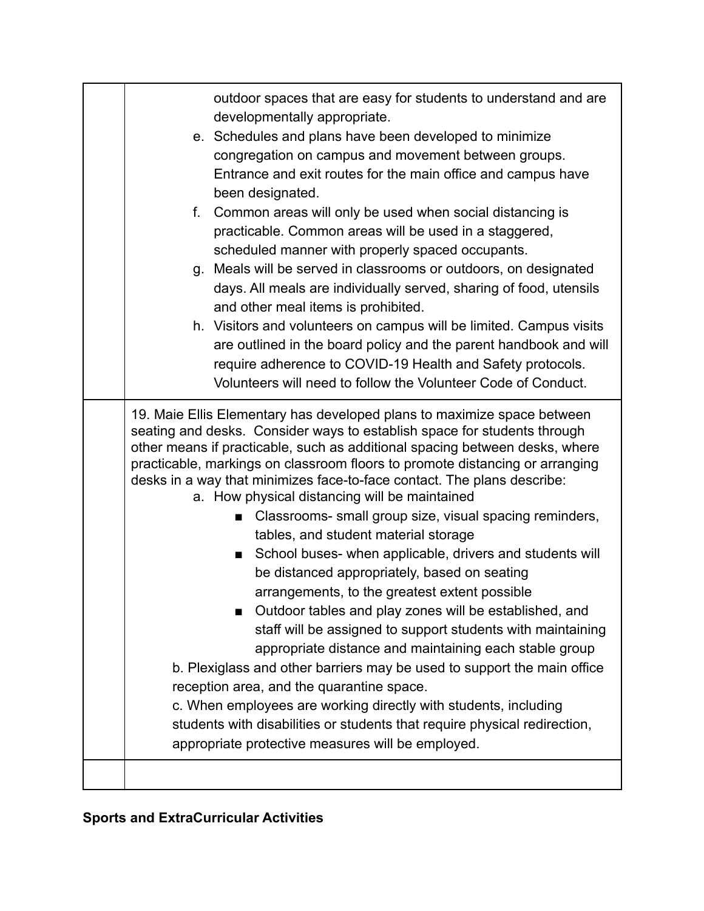| outdoor spaces that are easy for students to understand and are<br>developmentally appropriate.<br>e. Schedules and plans have been developed to minimize<br>congregation on campus and movement between groups.<br>Entrance and exit routes for the main office and campus have<br>been designated.<br>Common areas will only be used when social distancing is<br>f.<br>practicable. Common areas will be used in a staggered,<br>scheduled manner with properly spaced occupants.<br>g. Meals will be served in classrooms or outdoors, on designated<br>days. All meals are individually served, sharing of food, utensils<br>and other meal items is prohibited.<br>h. Visitors and volunteers on campus will be limited. Campus visits<br>are outlined in the board policy and the parent handbook and will<br>require adherence to COVID-19 Health and Safety protocols.<br>Volunteers will need to follow the Volunteer Code of Conduct.                                                                                                                                                                                                                                                                                         |
|------------------------------------------------------------------------------------------------------------------------------------------------------------------------------------------------------------------------------------------------------------------------------------------------------------------------------------------------------------------------------------------------------------------------------------------------------------------------------------------------------------------------------------------------------------------------------------------------------------------------------------------------------------------------------------------------------------------------------------------------------------------------------------------------------------------------------------------------------------------------------------------------------------------------------------------------------------------------------------------------------------------------------------------------------------------------------------------------------------------------------------------------------------------------------------------------------------------------------------------|
| 19. Maie Ellis Elementary has developed plans to maximize space between<br>seating and desks. Consider ways to establish space for students through<br>other means if practicable, such as additional spacing between desks, where<br>practicable, markings on classroom floors to promote distancing or arranging<br>desks in a way that minimizes face-to-face contact. The plans describe:<br>a. How physical distancing will be maintained<br>Classrooms- small group size, visual spacing reminders,<br>tables, and student material storage<br>School buses- when applicable, drivers and students will<br>п<br>be distanced appropriately, based on seating<br>arrangements, to the greatest extent possible<br>Outdoor tables and play zones will be established, and<br>■<br>staff will be assigned to support students with maintaining<br>appropriate distance and maintaining each stable group<br>b. Plexiglass and other barriers may be used to support the main office<br>reception area, and the quarantine space.<br>c. When employees are working directly with students, including<br>students with disabilities or students that require physical redirection,<br>appropriate protective measures will be employed. |
|                                                                                                                                                                                                                                                                                                                                                                                                                                                                                                                                                                                                                                                                                                                                                                                                                                                                                                                                                                                                                                                                                                                                                                                                                                          |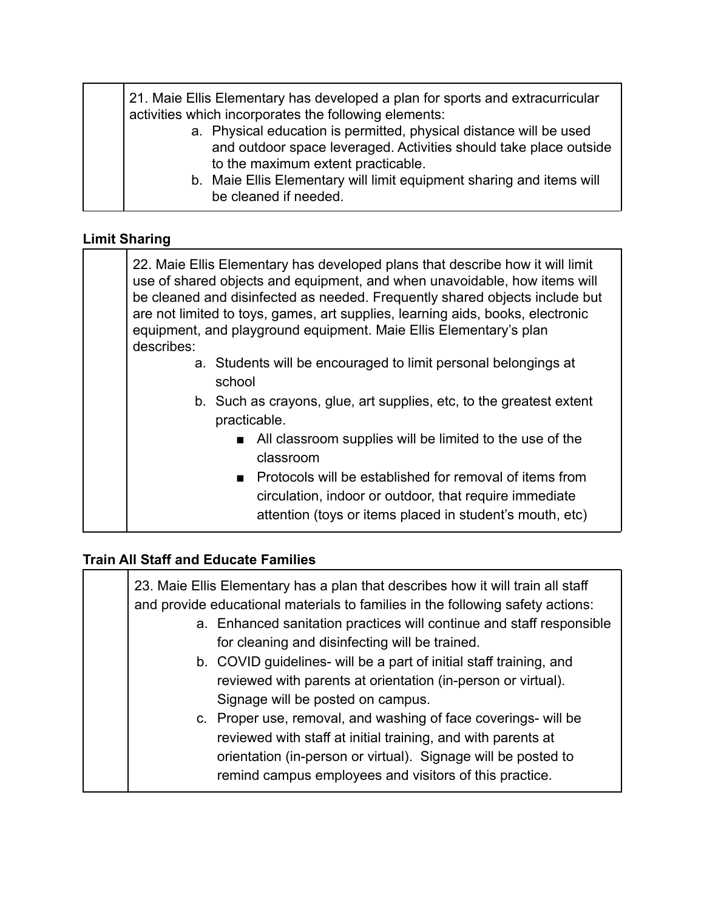| 21. Maie Ellis Elementary has developed a plan for sports and extracurricular<br>activities which incorporates the following elements:<br>a. Physical education is permitted, physical distance will be used<br>and outdoor space leveraged. Activities should take place outside |
|-----------------------------------------------------------------------------------------------------------------------------------------------------------------------------------------------------------------------------------------------------------------------------------|
| to the maximum extent practicable.<br>b. Maie Ellis Elementary will limit equipment sharing and items will<br>be cleaned if needed.                                                                                                                                               |

#### **Limit Sharing**

| 22. Maie Ellis Elementary has developed plans that describe how it will limit<br>use of shared objects and equipment, and when unavoidable, how items will<br>be cleaned and disinfected as needed. Frequently shared objects include but<br>are not limited to toys, games, art supplies, learning aids, books, electronic<br>equipment, and playground equipment. Maie Ellis Elementary's plan<br>describes: |  |
|----------------------------------------------------------------------------------------------------------------------------------------------------------------------------------------------------------------------------------------------------------------------------------------------------------------------------------------------------------------------------------------------------------------|--|
| a. Students will be encouraged to limit personal belongings at<br>school                                                                                                                                                                                                                                                                                                                                       |  |
| b. Such as crayons, glue, art supplies, etc, to the greatest extent<br>practicable.                                                                                                                                                                                                                                                                                                                            |  |
| ■ All classroom supplies will be limited to the use of the<br>classroom                                                                                                                                                                                                                                                                                                                                        |  |
| Protocols will be established for removal of items from<br>$\blacksquare$<br>circulation, indoor or outdoor, that require immediate<br>attention (toys or items placed in student's mouth, etc)                                                                                                                                                                                                                |  |

#### **Train All Staff and Educate Families**

| 23. Maie Ellis Elementary has a plan that describes how it will train all staff<br>and provide educational materials to families in the following safety actions:                                                                                         |  |
|-----------------------------------------------------------------------------------------------------------------------------------------------------------------------------------------------------------------------------------------------------------|--|
| a. Enhanced sanitation practices will continue and staff responsible<br>for cleaning and disinfecting will be trained.                                                                                                                                    |  |
| b. COVID guidelines- will be a part of initial staff training, and<br>reviewed with parents at orientation (in-person or virtual).<br>Signage will be posted on campus.                                                                                   |  |
| c. Proper use, removal, and washing of face coverings- will be<br>reviewed with staff at initial training, and with parents at<br>orientation (in-person or virtual). Signage will be posted to<br>remind campus employees and visitors of this practice. |  |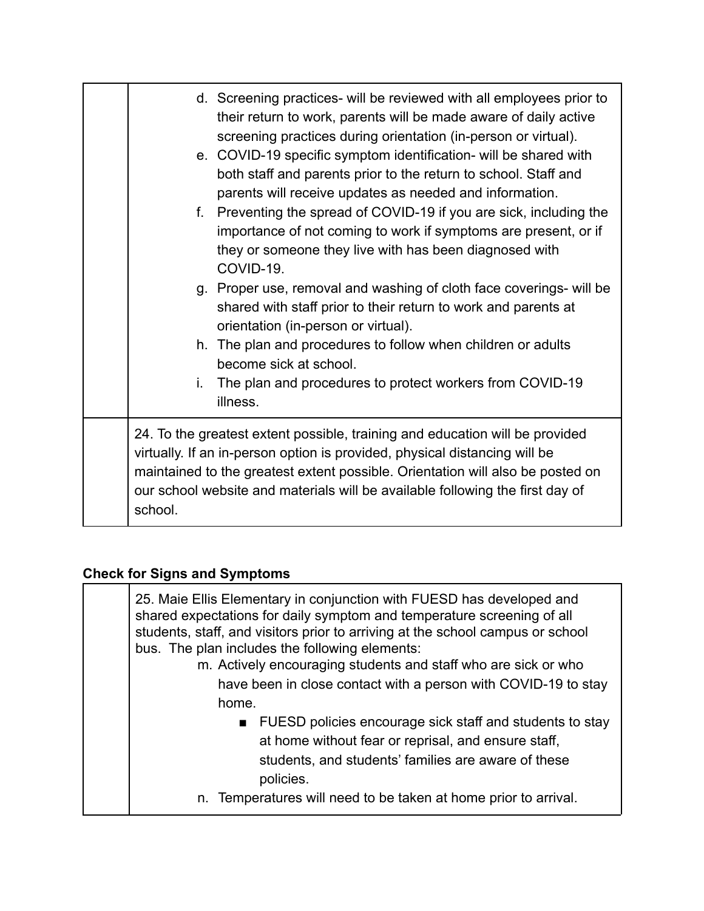| d. Screening practices- will be reviewed with all employees prior to<br>their return to work, parents will be made aware of daily active<br>screening practices during orientation (in-person or virtual).<br>e. COVID-19 specific symptom identification- will be shared with<br>both staff and parents prior to the return to school. Staff and<br>parents will receive updates as needed and information.<br>Preventing the spread of COVID-19 if you are sick, including the<br>f.<br>importance of not coming to work if symptoms are present, or if<br>they or someone they live with has been diagnosed with<br>COVID-19.<br>g. Proper use, removal and washing of cloth face coverings- will be<br>shared with staff prior to their return to work and parents at<br>orientation (in-person or virtual).<br>h. The plan and procedures to follow when children or adults<br>become sick at school.<br>The plan and procedures to protect workers from COVID-19<br>i.<br>illness. |  |
|------------------------------------------------------------------------------------------------------------------------------------------------------------------------------------------------------------------------------------------------------------------------------------------------------------------------------------------------------------------------------------------------------------------------------------------------------------------------------------------------------------------------------------------------------------------------------------------------------------------------------------------------------------------------------------------------------------------------------------------------------------------------------------------------------------------------------------------------------------------------------------------------------------------------------------------------------------------------------------------|--|
| 24. To the greatest extent possible, training and education will be provided<br>virtually. If an in-person option is provided, physical distancing will be<br>maintained to the greatest extent possible. Orientation will also be posted on<br>our school website and materials will be available following the first day of<br>school.                                                                                                                                                                                                                                                                                                                                                                                                                                                                                                                                                                                                                                                 |  |

## **Check for Signs and Symptoms**

| 25. Maie Ellis Elementary in conjunction with FUESD has developed and<br>shared expectations for daily symptom and temperature screening of all<br>students, staff, and visitors prior to arriving at the school campus or school<br>bus. The plan includes the following elements:<br>m. Actively encouraging students and staff who are sick or who<br>have been in close contact with a person with COVID-19 to stay<br>home. |  |
|----------------------------------------------------------------------------------------------------------------------------------------------------------------------------------------------------------------------------------------------------------------------------------------------------------------------------------------------------------------------------------------------------------------------------------|--|
| ■ FUESD policies encourage sick staff and students to stay<br>at home without fear or reprisal, and ensure staff,<br>students, and students' families are aware of these<br>policies.                                                                                                                                                                                                                                            |  |
| n. Temperatures will need to be taken at home prior to arrival.                                                                                                                                                                                                                                                                                                                                                                  |  |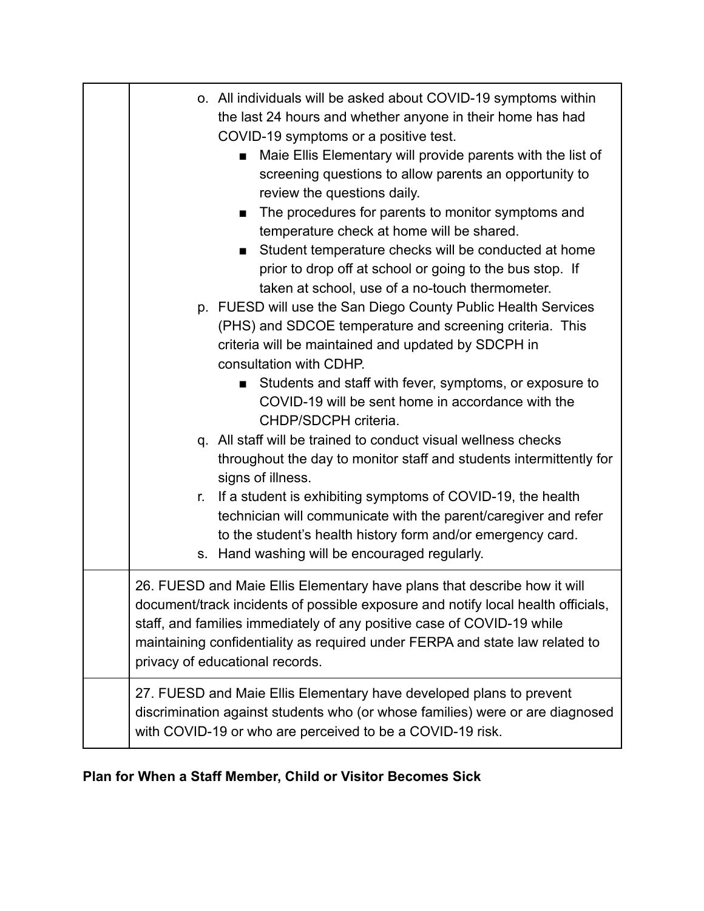| o. All individuals will be asked about COVID-19 symptoms within<br>the last 24 hours and whether anyone in their home has had<br>COVID-19 symptoms or a positive test.<br>Maie Ellis Elementary will provide parents with the list of<br>■<br>screening questions to allow parents an opportunity to<br>review the questions daily.<br>The procedures for parents to monitor symptoms and<br>temperature check at home will be shared.<br>Student temperature checks will be conducted at home<br>prior to drop off at school or going to the bus stop. If<br>taken at school, use of a no-touch thermometer.<br>p. FUESD will use the San Diego County Public Health Services<br>(PHS) and SDCOE temperature and screening criteria. This<br>criteria will be maintained and updated by SDCPH in<br>consultation with CDHP.<br>Students and staff with fever, symptoms, or exposure to<br>$\blacksquare$<br>COVID-19 will be sent home in accordance with the<br>CHDP/SDCPH criteria.<br>q. All staff will be trained to conduct visual wellness checks<br>throughout the day to monitor staff and students intermittently for<br>signs of illness.<br>If a student is exhibiting symptoms of COVID-19, the health<br>r.<br>technician will communicate with the parent/caregiver and refer<br>to the student's health history form and/or emergency card.<br>s. Hand washing will be encouraged regularly. |  |
|--------------------------------------------------------------------------------------------------------------------------------------------------------------------------------------------------------------------------------------------------------------------------------------------------------------------------------------------------------------------------------------------------------------------------------------------------------------------------------------------------------------------------------------------------------------------------------------------------------------------------------------------------------------------------------------------------------------------------------------------------------------------------------------------------------------------------------------------------------------------------------------------------------------------------------------------------------------------------------------------------------------------------------------------------------------------------------------------------------------------------------------------------------------------------------------------------------------------------------------------------------------------------------------------------------------------------------------------------------------------------------------------------------------|--|
| 26. FUESD and Maie Ellis Elementary have plans that describe how it will<br>document/track incidents of possible exposure and notify local health officials,<br>staff, and families immediately of any positive case of COVID-19 while<br>maintaining confidentiality as required under FERPA and state law related to<br>privacy of educational records.                                                                                                                                                                                                                                                                                                                                                                                                                                                                                                                                                                                                                                                                                                                                                                                                                                                                                                                                                                                                                                                    |  |
| 27. FUESD and Maie Ellis Elementary have developed plans to prevent<br>discrimination against students who (or whose families) were or are diagnosed<br>with COVID-19 or who are perceived to be a COVID-19 risk.                                                                                                                                                                                                                                                                                                                                                                                                                                                                                                                                                                                                                                                                                                                                                                                                                                                                                                                                                                                                                                                                                                                                                                                            |  |

### **Plan for When a Staff Member, Child or Visitor Becomes Sick**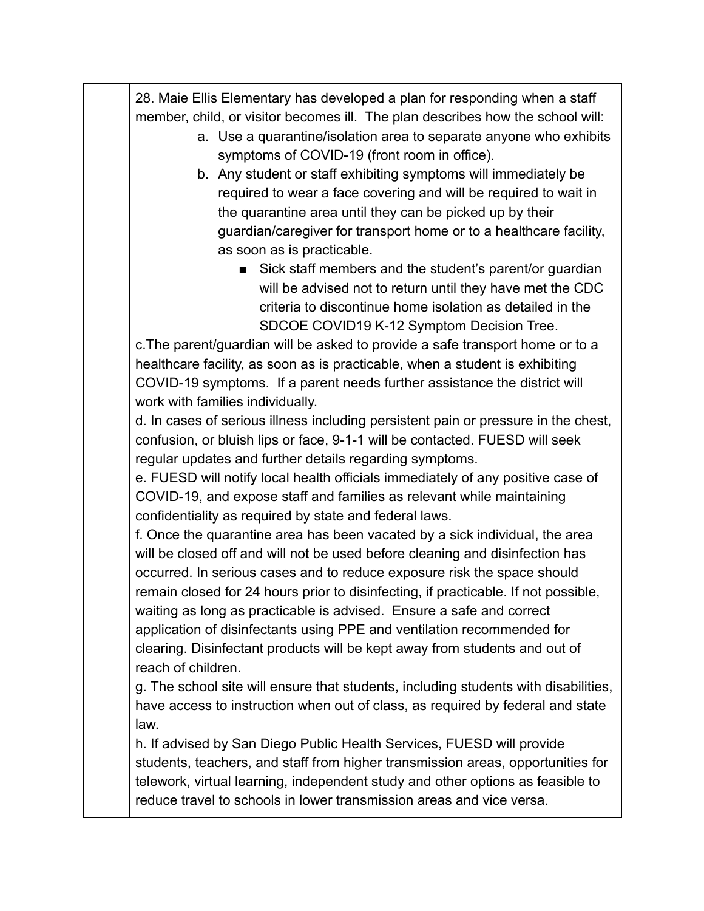28. Maie Ellis Elementary has developed a plan for responding when a staff member, child, or visitor becomes ill. The plan describes how the school will:

- a. Use a quarantine/isolation area to separate anyone who exhibits symptoms of COVID-19 (front room in office).
- b. Any student or staff exhibiting symptoms will immediately be required to wear a face covering and will be required to wait in the quarantine area until they can be picked up by their guardian/caregiver for transport home or to a healthcare facility, as soon as is practicable.
	- Sick staff members and the student's parent/or quardian will be advised not to return until they have met the CDC criteria to discontinue home isolation as detailed in the SDCOE COVID19 K-12 Symptom Decision Tree.

c.The parent/guardian will be asked to provide a safe transport home or to a healthcare facility, as soon as is practicable, when a student is exhibiting COVID-19 symptoms. If a parent needs further assistance the district will work with families individually.

d. In cases of serious illness including persistent pain or pressure in the chest, confusion, or bluish lips or face, 9-1-1 will be contacted. FUESD will seek regular updates and further details regarding symptoms.

e. FUESD will notify local health officials immediately of any positive case of COVID-19, and expose staff and families as relevant while maintaining confidentiality as required by state and federal laws.

f. Once the quarantine area has been vacated by a sick individual, the area will be closed off and will not be used before cleaning and disinfection has occurred. In serious cases and to reduce exposure risk the space should remain closed for 24 hours prior to disinfecting, if practicable. If not possible, waiting as long as practicable is advised. Ensure a safe and correct application of disinfectants using PPE and ventilation recommended for clearing. Disinfectant products will be kept away from students and out of reach of children.

g. The school site will ensure that students, including students with disabilities, have access to instruction when out of class, as required by federal and state law.

h. If advised by San Diego Public Health Services, FUESD will provide students, teachers, and staff from higher transmission areas, opportunities for telework, virtual learning, independent study and other options as feasible to reduce travel to schools in lower transmission areas and vice versa.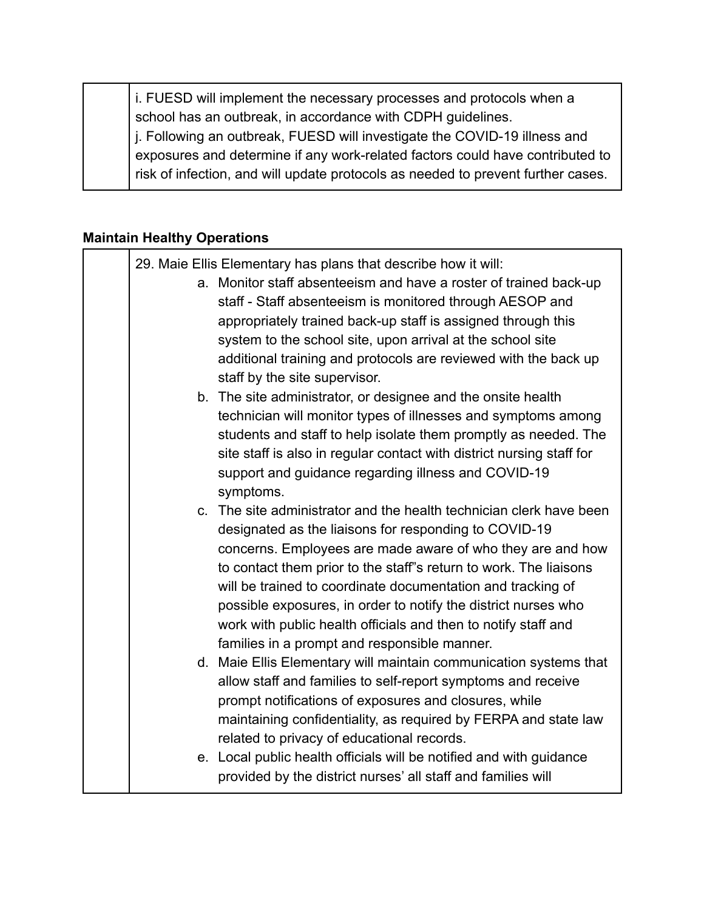i. FUESD will implement the necessary processes and protocols when a school has an outbreak, in accordance with CDPH guidelines. j. Following an outbreak, FUESD will investigate the COVID-19 illness and exposures and determine if any work-related factors could have contributed to risk of infection, and will update protocols as needed to prevent further cases.

#### **Maintain Healthy Operations**

|           | 29. Maie Ellis Elementary has plans that describe how it will:<br>a. Monitor staff absenteeism and have a roster of trained back-up<br>staff - Staff absenteeism is monitored through AESOP and<br>appropriately trained back-up staff is assigned through this<br>system to the school site, upon arrival at the school site<br>additional training and protocols are reviewed with the back up<br>staff by the site supervisor.                                                                                  |
|-----------|--------------------------------------------------------------------------------------------------------------------------------------------------------------------------------------------------------------------------------------------------------------------------------------------------------------------------------------------------------------------------------------------------------------------------------------------------------------------------------------------------------------------|
| symptoms. | b. The site administrator, or designee and the onsite health<br>technician will monitor types of illnesses and symptoms among<br>students and staff to help isolate them promptly as needed. The<br>site staff is also in regular contact with district nursing staff for<br>support and guidance regarding illness and COVID-19                                                                                                                                                                                   |
|           | c. The site administrator and the health technician clerk have been<br>designated as the liaisons for responding to COVID-19<br>concerns. Employees are made aware of who they are and how<br>to contact them prior to the staff"s return to work. The liaisons<br>will be trained to coordinate documentation and tracking of<br>possible exposures, in order to notify the district nurses who<br>work with public health officials and then to notify staff and<br>families in a prompt and responsible manner. |
|           | d. Maie Ellis Elementary will maintain communication systems that<br>allow staff and families to self-report symptoms and receive<br>prompt notifications of exposures and closures, while<br>maintaining confidentiality, as required by FERPA and state law<br>related to privacy of educational records.                                                                                                                                                                                                        |
|           | e. Local public health officials will be notified and with guidance<br>provided by the district nurses' all staff and families will                                                                                                                                                                                                                                                                                                                                                                                |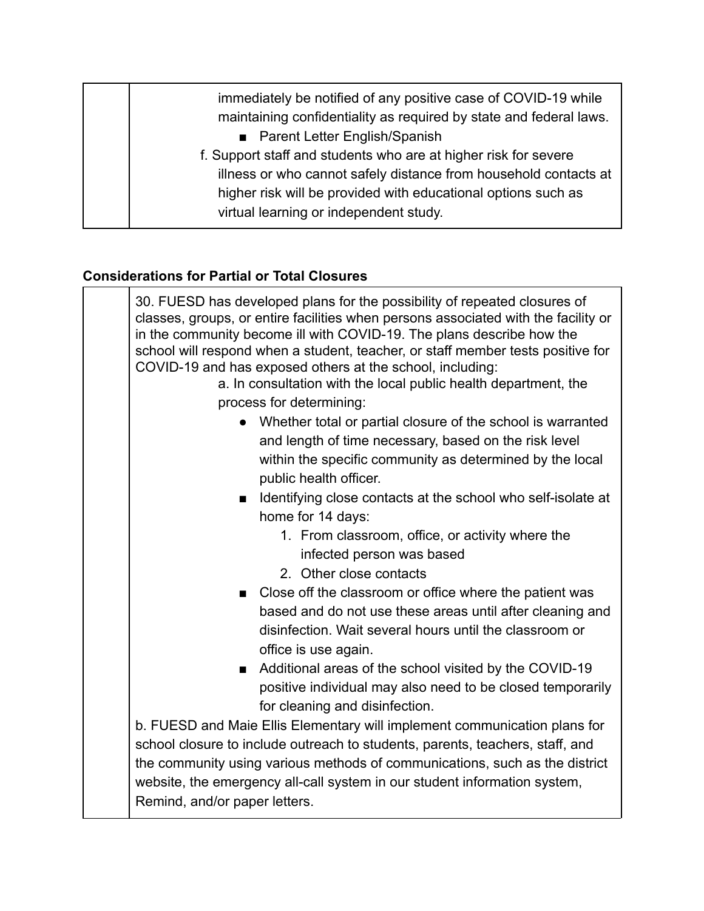immediately be notified of any positive case of COVID-19 while maintaining confidentiality as required by state and federal laws. ■ Parent Letter English/Spanish f. Support staff and students who are at higher risk for severe illness or who cannot safely distance from household contacts at higher risk will be provided with educational options such as virtual learning or independent study.

#### **Considerations for Partial or Total Closures**

| 30. FUESD has developed plans for the possibility of repeated closures of<br>classes, groups, or entire facilities when persons associated with the facility or<br>in the community become ill with COVID-19. The plans describe how the<br>school will respond when a student, teacher, or staff member tests positive for<br>COVID-19 and has exposed others at the school, including:<br>a. In consultation with the local public health department, the<br>process for determining: |  |
|-----------------------------------------------------------------------------------------------------------------------------------------------------------------------------------------------------------------------------------------------------------------------------------------------------------------------------------------------------------------------------------------------------------------------------------------------------------------------------------------|--|
| • Whether total or partial closure of the school is warranted                                                                                                                                                                                                                                                                                                                                                                                                                           |  |
| and length of time necessary, based on the risk level                                                                                                                                                                                                                                                                                                                                                                                                                                   |  |
| within the specific community as determined by the local                                                                                                                                                                                                                                                                                                                                                                                                                                |  |
| public health officer.                                                                                                                                                                                                                                                                                                                                                                                                                                                                  |  |
| Identifying close contacts at the school who self-isolate at<br>$\blacksquare$                                                                                                                                                                                                                                                                                                                                                                                                          |  |
| home for 14 days:                                                                                                                                                                                                                                                                                                                                                                                                                                                                       |  |
| 1. From classroom, office, or activity where the                                                                                                                                                                                                                                                                                                                                                                                                                                        |  |
| infected person was based                                                                                                                                                                                                                                                                                                                                                                                                                                                               |  |
| 2. Other close contacts                                                                                                                                                                                                                                                                                                                                                                                                                                                                 |  |
| ■ Close off the classroom or office where the patient was                                                                                                                                                                                                                                                                                                                                                                                                                               |  |
| based and do not use these areas until after cleaning and<br>disinfection. Wait several hours until the classroom or<br>office is use again.                                                                                                                                                                                                                                                                                                                                            |  |
| Additional areas of the school visited by the COVID-19<br>п                                                                                                                                                                                                                                                                                                                                                                                                                             |  |
| positive individual may also need to be closed temporarily                                                                                                                                                                                                                                                                                                                                                                                                                              |  |
| for cleaning and disinfection.                                                                                                                                                                                                                                                                                                                                                                                                                                                          |  |
| b. FUESD and Maie Ellis Elementary will implement communication plans for                                                                                                                                                                                                                                                                                                                                                                                                               |  |
| school closure to include outreach to students, parents, teachers, staff, and                                                                                                                                                                                                                                                                                                                                                                                                           |  |
| the community using various methods of communications, such as the district                                                                                                                                                                                                                                                                                                                                                                                                             |  |
| website, the emergency all-call system in our student information system,<br>Remind, and/or paper letters.                                                                                                                                                                                                                                                                                                                                                                              |  |
|                                                                                                                                                                                                                                                                                                                                                                                                                                                                                         |  |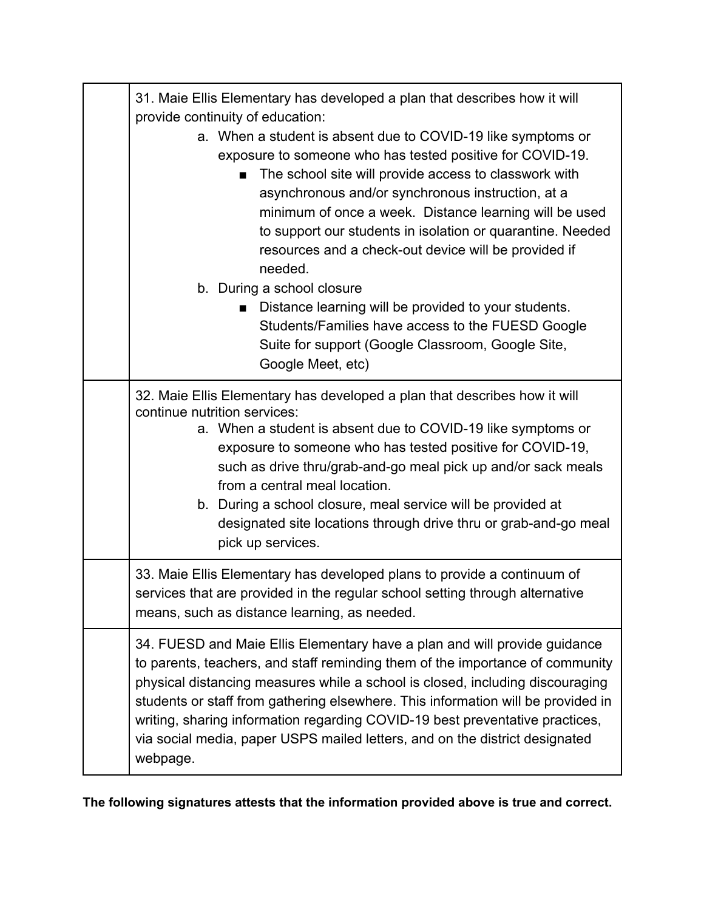| 31. Maie Ellis Elementary has developed a plan that describes how it will<br>provide continuity of education:                                                                                                                                                                                                                                                                                                                                                                                                                                                                                                                                                |  |
|--------------------------------------------------------------------------------------------------------------------------------------------------------------------------------------------------------------------------------------------------------------------------------------------------------------------------------------------------------------------------------------------------------------------------------------------------------------------------------------------------------------------------------------------------------------------------------------------------------------------------------------------------------------|--|
| a. When a student is absent due to COVID-19 like symptoms or<br>exposure to someone who has tested positive for COVID-19.<br>The school site will provide access to classwork with<br>asynchronous and/or synchronous instruction, at a<br>minimum of once a week. Distance learning will be used<br>to support our students in isolation or quarantine. Needed<br>resources and a check-out device will be provided if<br>needed.<br>b. During a school closure<br>Distance learning will be provided to your students.<br>■<br>Students/Families have access to the FUESD Google<br>Suite for support (Google Classroom, Google Site,<br>Google Meet, etc) |  |
| 32. Maie Ellis Elementary has developed a plan that describes how it will<br>continue nutrition services:<br>a. When a student is absent due to COVID-19 like symptoms or<br>exposure to someone who has tested positive for COVID-19,<br>such as drive thru/grab-and-go meal pick up and/or sack meals<br>from a central meal location.<br>b. During a school closure, meal service will be provided at<br>designated site locations through drive thru or grab-and-go meal<br>pick up services.                                                                                                                                                            |  |
| 33. Maie Ellis Elementary has developed plans to provide a continuum of<br>services that are provided in the regular school setting through alternative<br>means, such as distance learning, as needed.                                                                                                                                                                                                                                                                                                                                                                                                                                                      |  |
| 34. FUESD and Maie Ellis Elementary have a plan and will provide guidance<br>to parents, teachers, and staff reminding them of the importance of community<br>physical distancing measures while a school is closed, including discouraging<br>students or staff from gathering elsewhere. This information will be provided in<br>writing, sharing information regarding COVID-19 best preventative practices,<br>via social media, paper USPS mailed letters, and on the district designated<br>webpage.                                                                                                                                                   |  |

**The following signatures attests that the information provided above is true and correct.**